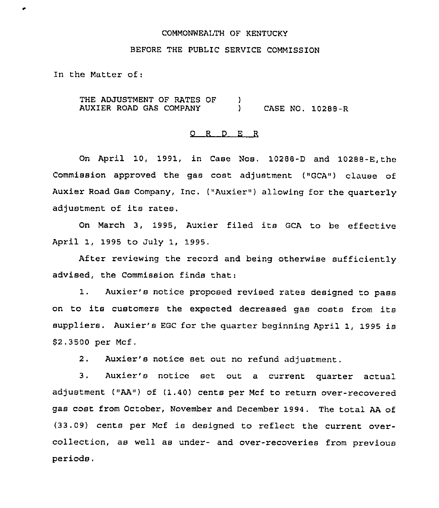# COMMONWEALTH OF KENTUCKY

### BEFORE THE PUBLIC SERVICE COMMISSION

In the Matter of:

THE ADJUSTMENT OF RATES OF AUXIER ROAD GAS COMPANY )<br>) ) CASE NO. 10288-R

# 0 <sup>R</sup> <sup>D</sup> E <sup>R</sup>

On April 10, 1991, in Case Nos. 10288-D and 10288-E,the Commission approved the gas cost adjustment ("GCA") clause of Auxier Road Gas Company, Inc. ("Auxier") allowing for the quarterly adjustment of its rates.

On March 3, 1995, Auxier filed its GCA to be effective April 1, 1995 to July 1, 1995,

After reviewing the record and being otherwise sufficiently advised, the Commission finds that:

1. Auxier's notice proposed revised rates designed to pass on to its customers the expected decreased gas costs from its suppliers. Auxier's EGC for the quarter beginning April 1, 1995 is \$2.3500 per Mcf.

2. Auxier's notice set out no refund adjustment.

3, Auxier's notice set out <sup>a</sup> current quarter actual adjustment ("AA") of (1.40) cents per Mcf to return over-recovered gas cost from October, November and December 1994. The total AA of (33.09) cents per Mcf is designed to reflect the current overcollection, as well as under- and over-recoveries from previous periods.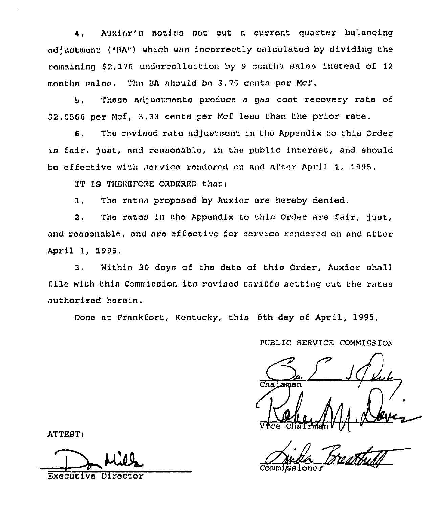Auxier's notice set out a current quarter balancing 4. adjustment ("BA") which was incorrectly calculated by dividing the remaining \$2,176 undercollection by 9 months sales instead of 12 months sales. The BA should be 3.75 cents per Mcf.

These adjustments produce a gas cost recovery rate of  $5.$ \$2.0566 per Mcf. 3.33 cents per Mcf less than the prior rate.

The revised rate adjustment in the Appendix to this Order  $6.$ is fair, just, and reasonable, in the public interest, and should bo effective with nervice rendered on and after April 1, 1995.

IT IS THEREFORE ORDERED that:

 $1.$ The rates proposed by Auxier are hereby denied.

The rates in the Appendix to this Order are fair, just,  $2.$ and reasonable, and are effective for service rendered on and after April 1, 1995.

Within 30 days of the date of this Order. Auxier shall  $3.$ file with this Commission its revised tariffs setting out the rates authorized herein.

Done at Frankfort, Kentucky, this 6th day of April, 1995.

PUBLIC SERVICE COMMISSION

Leman

Commissioner

ATTEST:

Executive Director